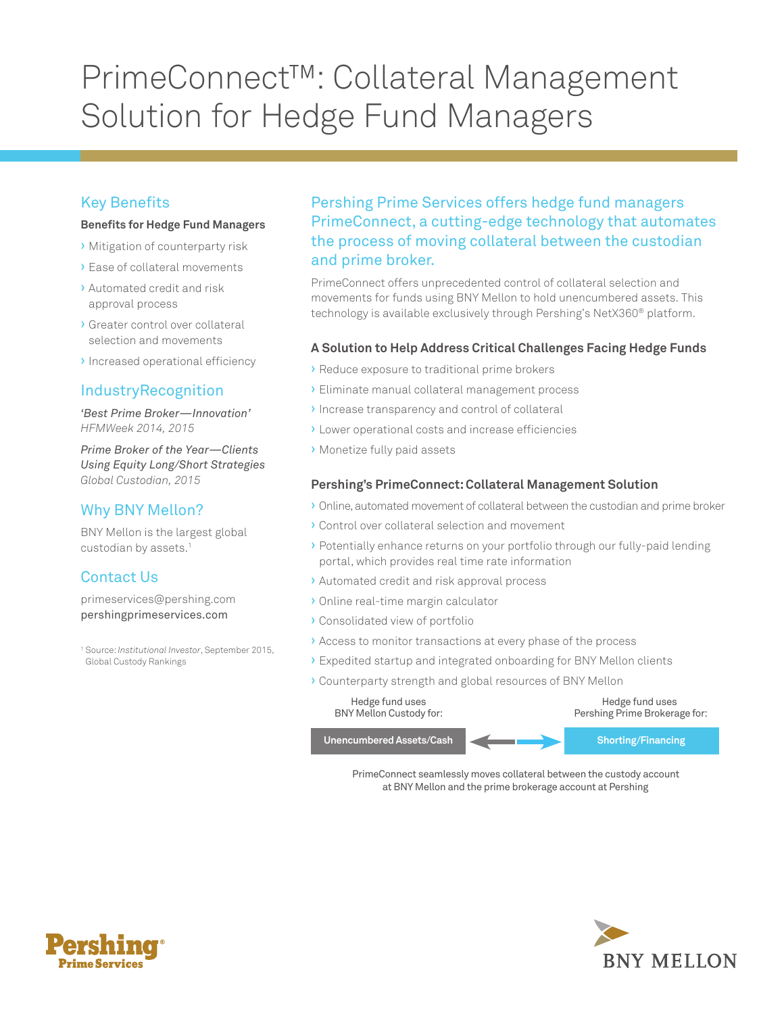# PrimeConnect™: Collateral Management Solution for Hedge Fund Managers

# Key Benefits

#### **Benefits for Hedge Fund Managers**

- › Mitigation of counterparty risk
- › Ease of collateral movements
- › Automated credit and risk approval process
- › Greater control over collateral selection and movements
- › Increased operational efficiency

### IndustryRecognition

*'Best Prime Broker—Innovation' HFMWeek 2014, 2015* 

*Prime Broker of the Year—Clients Using Equity Long/Short Strategies Global Custodian, 2015* 

## Why BNY Mellon?

BNY Mellon is the largest global custodian by assets.<sup>1</sup>

# Contact Us

primeservices@pershing.com pershingprimeservices.com

 1 Source: *Institutional Investor*, September 2015, Global Custody Rankings

## Pershing Prime Services offers hedge fund managers PrimeConnect, a cutting-edge technology that automates the process of moving collateral between the custodian and prime broker.

PrimeConnect offers unprecedented control of collateral selection and movements for funds using BNY Mellon to hold unencumbered assets. This technology is available exclusively through Pershing's NetX360® platform.

#### **A Solution to Help Address Critical Challenges Facing Hedge Funds**

- › Reduce exposure to traditional prime brokers
- › Eliminate manual collateral management process
- › Increase transparency and control of collateral
- › Lower operational costs and increase efficiencies
- › Monetize fully paid assets

#### **Pershing's PrimeConnect: Collateral Management Solution**

- › Online, automated movement of collateral between the custodian and prime broker
- › Control over collateral selection and movement
- › Potentially enhance returns on your portfolio through our fully-paid lending portal, which provides real time rate information
- › Automated credit and risk approval process
- › Online real-time margin calculator
- › Consolidated view of portfolio
- › Access to monitor transactions at every phase of the process
- › Expedited startup and integrated onboarding for BNY Mellon clients
- › Counterparty strength and global resources of BNY Mellon



PrimeConnect seamlessly moves collateral between the custody account at BNY Mellon and the prime brokerage account at Pershing